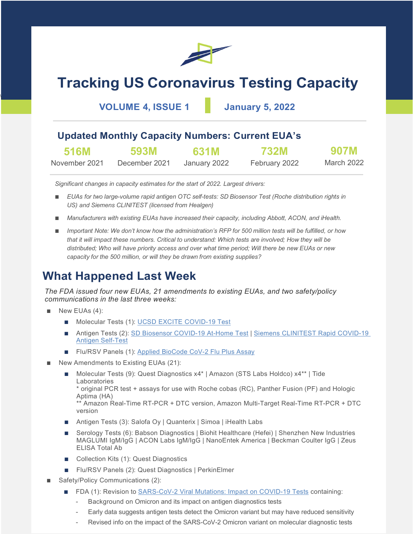

# **Tracking US Coronavirus Testing Capacity**

**VOLUME 4, ISSUE 1 January 5, 2022**

### **Updated Monthly Capacity Numbers: Current EUA's**

| <b>516M</b>   | 593M          | 631M         | <b>732M</b>   | <b>907M</b> |
|---------------|---------------|--------------|---------------|-------------|
| November 2021 | December 2021 | January 2022 | February 2022 | March 2022  |

*Significant changes in capacity estimates for the start of 2022. Largest drivers:*

- *EUAs for two large-volume rapid antigen OTC self-tests: SD Biosensor Test (Roche distribution rights in US) and Siemens CLINITEST (licensed from Healgen)*
- *Manufacturers with existing EUAs have increased their capacity, including Abbott, ACON, and iHealth.*
- *Important Note: We don't know how the administration's RFP for 500 million tests will be fulfilled, or how that it will impact these numbers. Critical to understand: Which tests are involved; How they will be distributed; Who will have priority access and over what time period; Will there be new EUAs or new capacity for the 500 million, or will they be drawn from existing supplies?*

# **What Happened Last Week**

*The FDA issued four new EUAs, 21 amendments to existing EUAs, and two safety/policy communications in the last three weeks:*

New EUAs (4):

 $\overline{\phantom{a}}$ 

- Molecular Tests (1): [UCSD EXCITE COVID-19 Test](https://www.fda.gov/media/155007/download)
- Antigen Tests (2): [SD Biosensor COVID-19 At-Home Test](https://www.fda.gov/media/155123/download) | Siemens CLINITEST Rapid COVID-19 [Antigen Self-Test](https://www.fda.gov/media/155173/download)
- Flu/RSV Panels (1): [Applied BioCode CoV-2 Flu Plus Assay](https://www.fda.gov/media/154988/download)
- New Amendments to Existing EUAs (21):
	- Molecular Tests (9): Quest Diagnostics x4\* | Amazon (STS Labs Holdco) x4\*\* | Tide Laboratories

\* original PCR test + assays for use with Roche cobas (RC), Panther Fusion (PF) and Hologic Aptima (HA)

\*\* Amazon Real-Time RT-PCR + DTC version, Amazon Multi-Target Real-Time RT-PCR + DTC version

- Antigen Tests (3): Salofa Oy | Quanterix | Simoa | iHealth Labs
- Serology Tests (6): Babson Diagnostics | Biohit Healthcare (Hefei) | Shenzhen New Industries MAGLUMI IgM/IgG | ACON Labs IgM/IgG | NanoEntek America | Beckman Coulter IgG | Zeus ELISA Total Ab
- Collection Kits (1): Quest Diagnostics
- Flu/RSV Panels (2): Quest Diagnostics | PerkinElmer
- Safety/Policy Communications (2):
	- FDA (1): Revision to [SARS-CoV-2 Viral Mutations: Impact on COVID-19 Tests](https://www.fda.gov/medical-devices/coronavirus-covid-19-and-medical-devices/sars-cov-2-viral-mutations-impact-covid-19-tests) containing:
		- Background on Omicron and its impact on antigen diagnostics tests
		- Early data suggests antigen tests detect the Omicron variant but may have reduced sensitivity
		- Revised info on the impact of the SARS-CoV-2 Omicron variant on molecular diagnostic tests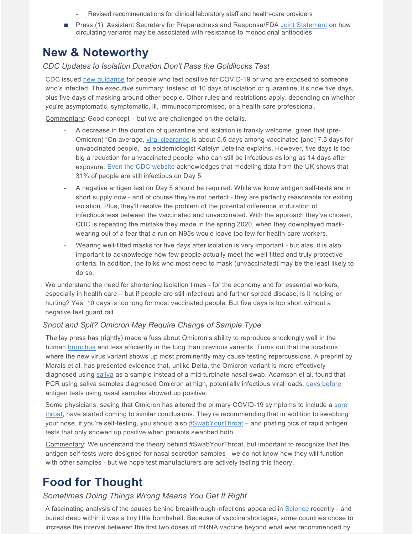- Revised recommendations for clinical laboratory staff and health-care providers
- Press (1): Assistant Secretary for Preparedness and Response/FDA [Joint Statement](https://www.phe.gov/emergency/events/COVID19/therapeutics/update-23Dec2021/Pages/default.aspx) on how circulating variants may be associated with resistance to monoclonal antibodies

# **New & Noteworthy**

*CDC Updates to Isolation Duration Don't Pass the Goldilocks Test*

CDC issued [new guidance](https://www.cdc.gov/coronavirus/2019-ncov/your-health/quarantine-isolation.html) for people who test positive for COVID-19 or who are exposed to someone who's infected. The executive summary: Instead of 10 days of isolation or quarantine, it's now five days, plus five days of masking around other people. Other rules and restrictions apply, depending on whether you're asymptomatic, symptomatic, ill, immunocompromised, or a health-care professional.

Commentary: Good concept – but we are challenged on the details.

- A decrease in the duration of quarantine and isolation is frankly welcome, given that (pre-Omicron) "On average, [viral clearance](https://yourlocalepidemiologist.substack.com/p/state-of-affairs-dec-28) is about 5.5 days among vaccinated [and] 7.5 days for unvaccinated people," as epidemiologist Katelyn Jetelina explains. However, five days is too big a reduction for unvaccinated people, who can still be infectious as long as 14 days after exposure. [Even the CDC website](https://www.cdc.gov/coronavirus/2019-ncov/if-you-are-sick/quarantine-isolation-background.html) acknowledges that modeling data from the UK shows that 31% of people are still infectious on Day 5.
- A negative antigen test on Day 5 should be required. While we know antigen self-tests are in short supply now - and of course they're not perfect - they are perfectly reasonable for exiting isolation. Plus, they'll resolve the problem of the potential difference in duration of infectiousness between the vaccinated and unvaccinated. With the approach they've chosen, CDC is repeating the mistake they made in the spring 2020, when they downplayed maskwearing out of a fear that a run on N95s would leave too few for health-care workers.
- Wearing well-fitted masks for five days after isolation is very important but alas, it is also important to acknowledge how few people actually meet the well-fitted and truly protective criteria. In addition, the folks who most need to mask (unvaccinated) may be the least likely to do so.

We understand the need for shortening isolation times - for the economy and for essential workers, especially in health care – but if people are still infectious and further spread disease, is it helping or hurting? Yes, 10 days is too long for most vaccinated people. But five days is too short without a negative test guard rail.

#### *Snoot and Spit? Omicron May Require Change of Sample Type*

The lay press has (rightly) made a fuss about Omicron's ability to reproduce shockingly well in the human [bronchus](https://www.med.hku.hk/en/news/press/20211215-omicron-sars-cov-2-infection) and less efficiently in the lung than previous variants. Turns out that the locations where the new virus variant shows up most prominently may cause testing repercussions. A preprint by Marais et al. has presented evidence that, unlike Delta, the Omicron variant is more effectively diagnosed using [saliva](https://www.medrxiv.org/content/10.1101/2021.12.22.21268246v1) as a sample instead of a mid-turbinate nasal swab. Adamson et al. found that PCR using saliva samples diagnosed Omicron at high, potentially infectious viral loads, [days before](https://www.medrxiv.org/content/10.1101/2022.01.04.22268770v1) antigen tests using nasal samples showed up positive.

Some physicians, seeing that Omicron has altered the primary COVID-19 symptoms to include a [sore](https://www.nbcchicago.com/news/local/omicron-symptoms-with-sore-throats-common-should-you-also-swab-your-throat-to-test/2720958/)  [throat,](https://www.nbcchicago.com/news/local/omicron-symptoms-with-sore-throats-common-should-you-also-swab-your-throat-to-test/2720958/) have started coming to similar conclusions. They're recommending that in addition to swabbing your nose, if you're self-testing, you should also [#SwabYourThroat](https://twitter.com/DrEricDing/status/1477498074838839296) – and posting pics of rapid antigen tests that only showed up positive when patients swabbed both.

Commentary: We understand the theory behind #SwabYourThroat, but important to recognize that the antigen self-tests were designed for nasal secretion samples - we do not know how they will function with other samples - but we hope test manufacturers are actively testing this theory.

# **Food for Thought**

#### *Sometimes Doing Things Wrong Means You Get It Right*

A fascinating analysis of the causes behind breakthrough infections appeared in [Science](https://www.science.org/doi/10.1126/science.abl8487) recently - and buried deep within it was a tiny little bombshell. Because of vaccine shortages, some countries chose to increase the interval between the first two doses of mRNA vaccine beyond what was recommended by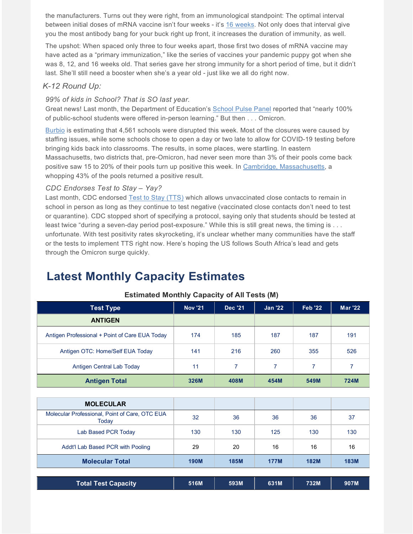the manufacturers. Turns out they were right, from an immunological standpoint: The optimal interval between initial doses of mRNA vaccine isn't four weeks - it's [16 weeks.](https://www.sciencedirect.com/science/article/pii/S1931312821005692) Not only does that interval give you the most antibody bang for your buck right up front, it increases the duration of immunity, as well.

The upshot: When spaced only three to four weeks apart, those first two doses of mRNA vaccine may have acted as a "primary immunization," like the series of vaccines your pandemic puppy got when she was 8, 12, and 16 weeks old. That series gave her strong immunity for a short period of time, but it didn't last. She'll still need a booster when she's a year old - just like we all do right now.

#### *K-12 Round Up:*

#### *99% of kids in School? That is SO last year.*

Great news! Last month, the Department of Education's [School Pulse Panel](https://nces.ed.gov/surveys/spp/) reported that "nearly 100% of public-school students were offered in-person learning." But then . . . Omicron.

[Burbio](https://cai.burbio.com/school-opening-tracker/) is estimating that 4,561 schools were disrupted this week. Most of the closures were caused by staffing issues, while some schools chose to open a day or two late to allow for COVID-19 testing before bringing kids back into classrooms. The results, in some places, were startling. In eastern Massachusetts, two districts that, pre-Omicron, had never seen more than 3% of their pools come back positive saw 15 to 20% of their pools turn up positive this week. In [Cambridge, Massachusetts,](https://www.bostonglobe.com/2022/01/05/metro/cambridge-students-head-back-school-amid-uncertainty/) a whopping 43% of the pools returned a positive result.

#### *CDC Endorses Test to Stay – Yay?*

Last month, CDC endorsed [Test to Stay \(TTS\)](https://www.cdc.gov/coronavirus/2019-ncov/community/schools-childcare/what-you-should-know.html) which allows unvaccinated close contacts to remain in school in person as long as they continue to test negative (vaccinated close contacts don't need to test or quarantine). CDC stopped short of specifying a protocol, saying only that students should be tested at least twice "during a seven-day period post-exposure." While this is still great news, the timing is . . . unfortunate. With test positivity rates skyrocketing, it's unclear whether many communities have the staff or the tests to implement TTS right now. Here's hoping the US follows South Africa's lead and gets through the Omicron surge quickly.

# **Latest Monthly Capacity Estimates**

| <b>Test Type</b>                               | <b>Nov '21</b> | <b>Dec '21</b> | <b>Jan '22</b> | <b>Feb '22</b> | <b>Mar '22</b> |
|------------------------------------------------|----------------|----------------|----------------|----------------|----------------|
| <b>ANTIGEN</b>                                 |                |                |                |                |                |
| Antigen Professional + Point of Care EUA Today | 174            | 185            | 187            | 187            | 191            |
| Antigen OTC: Home/Self EUA Today               | 141            | 216            | 260            | 355            | 526            |
| Antigen Central Lab Today                      | 11             | 7              | 7              | 7              | 7              |
| <b>Antigen Total</b>                           | 326M           | 408M           | 454M           | 549M           | <b>724M</b>    |
|                                                |                |                |                |                |                |
| <b>MOLECULAR</b>                               |                |                |                |                |                |

#### **Estimated Monthly Capacity of All Tests (M)**

| <b>MOLECULAR</b>                                        |             |             |             |             |             |
|---------------------------------------------------------|-------------|-------------|-------------|-------------|-------------|
| Molecular Professional, Point of Care, OTC EUA<br>Today | 32          | 36          | 36          | 36          | 37          |
| Lab Based PCR Today                                     | 130         | 130         | 125         | 130         | 130         |
| Addt'l Lab Based PCR with Pooling                       | 29          | 20          | 16          | 16          | 16          |
| <b>Molecular Total</b>                                  | <b>190M</b> | <b>185M</b> | <b>177M</b> | <b>182M</b> | <b>183M</b> |

|  | <b>Total Test Capacity</b> | 516M | 593M | 631M | 732M | 907M |
|--|----------------------------|------|------|------|------|------|
|--|----------------------------|------|------|------|------|------|